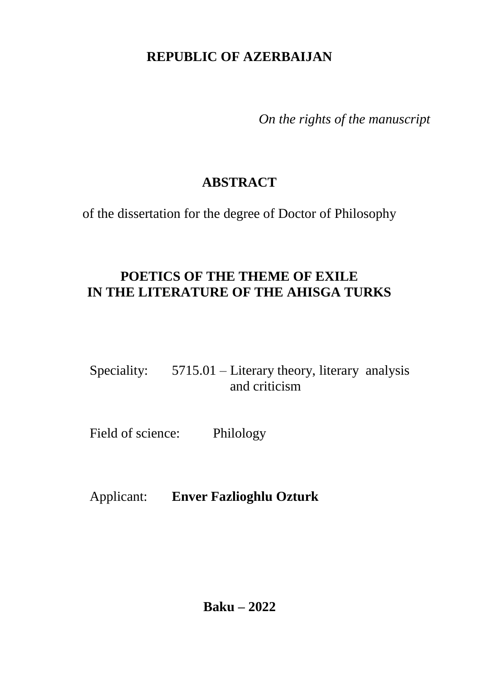### **REPUBLIC OF AZERBAIJAN**

*On the rights of the manuscript*

## **ABSTRACT**

of the dissertation for the degree of Doctor of Philosophy

# **POETICS OF THE THEME OF EXILE IN THE LITERATURE OF THE AHISGA TURKS**

Speciality: 5715.01 – Literary theory, literary analysis and criticism

Field of science: Philology

Applicant: **Enver Fazlioghlu Ozturk**

**Baku – 2022**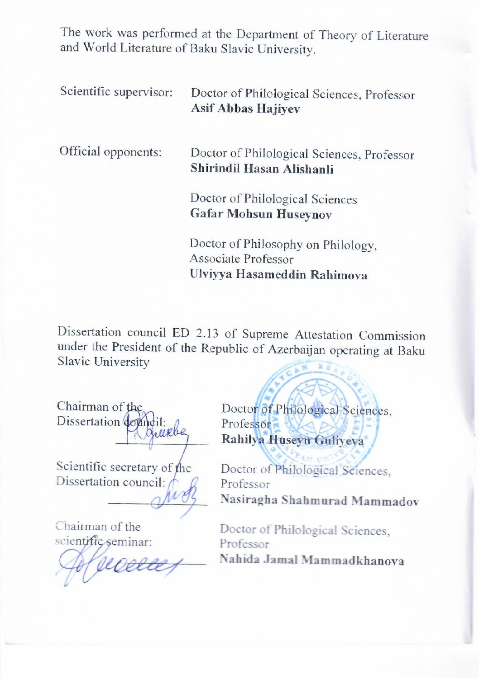The work was performed at the Department of Theory of Literature and World Literature of Baku Slavic University.

| Scientific supervisor: | Doctor of Philological Sciences, Professor<br><b>Asif Abbas Hajiyev</b>                  |
|------------------------|------------------------------------------------------------------------------------------|
| Official opponents:    | Doctor of Philological Sciences, Professor<br>Shirindil Hasan Alishanli                  |
|                        | Doctor of Philological Sciences<br><b>Gafar Mohsun Huseynov</b>                          |
|                        | Doctor of Philosophy on Philology,<br>Associate Professor<br>Ulviyya Hasameddin Rahimova |

Dissertation council ED 2.13 of Supreme Attestation Commission under the President of the Republic of Azerbaijan operating at Baku  $\sqrt{6h^2 \frac{2.8 \times 13.5}{2.5}}$ 

 $\mathbb{R}$  and  $\mathbb{R}$   $\mathbb{R}$   $\mathbb{R}$  of  $\mathbb{R}$ 

Chairman of the Dissertation do Chairman of the

Scientific secretary of the Dissertation council:

 $\sim$ 

Chairman of the scientific seminar:

Chairman scientific seminar:

Doctor of Philological Sciences. Professor Rahilya Huseyn Guliyeva

Doctor of Philological Sciences, **Professor** Nasiragha Shahmurad Mammadov

Doctor of Philological Sciences, Professor<br>Nahida Jamal Mammadkhanova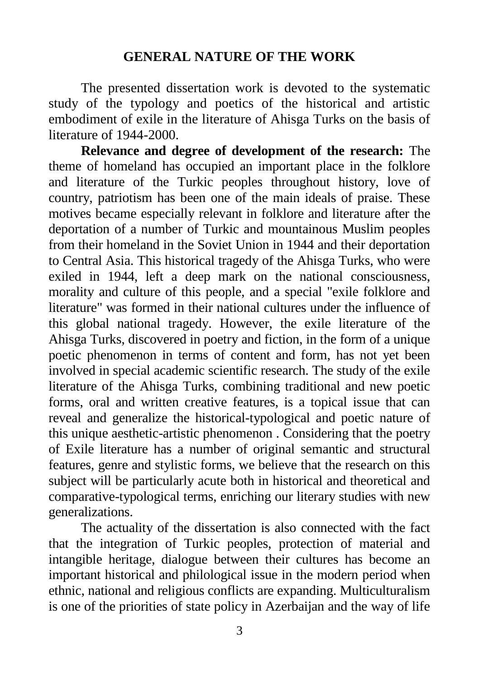#### **GENERAL NATURE OF THE WORK**

The presented dissertation work is devoted to the systematic study of the typology and poetics of the historical and artistic embodiment of exile in the literature of Ahisga Turks on the basis of literature of 1944-2000.

**Relevance and degree of development of the research:** The theme of homeland has occupied an important place in the folklore and literature of the Turkic peoples throughout history, love of country, patriotism has been one of the main ideals of praise. These motives became especially relevant in folklore and literature after the deportation of a number of Turkic and mountainous Muslim peoples from their homeland in the Soviet Union in 1944 and their deportation to Central Asia. This historical tragedy of the Ahisga Turks, who were exiled in 1944, left a deep mark on the national consciousness, morality and culture of this people, and a special "exile folklore and literature" was formed in their national cultures under the influence of this global national tragedy. However, the exile literature of the Ahisga Turks, discovered in poetry and fiction, in the form of a unique poetic phenomenon in terms of content and form, has not yet been involved in special academic scientific research. The study of the exile literature of the Ahisga Turks, combining traditional and new poetic forms, oral and written creative features, is a topical issue that can reveal and generalize the historical-typological and poetic nature of this unique aesthetic-artistic phenomenon . Considering that the poetry of Exile literature has a number of original semantic and structural features, genre and stylistic forms, we believe that the research on this subject will be particularly acute both in historical and theoretical and comparative-typological terms, enriching our literary studies with new generalizations.

The actuality of the dissertation is also connected with the fact that the integration of Turkic peoples, protection of material and intangible heritage, dialogue between their cultures has become an important historical and philological issue in the modern period when ethnic, national and religious conflicts are expanding. Multiculturalism is one of the priorities of state policy in Azerbaijan and the way of life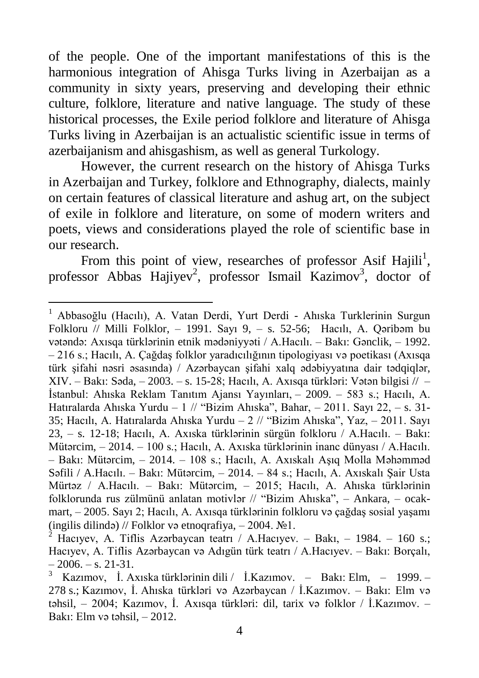of the people. One of the important manifestations of this is the harmonious integration of Ahisga Turks living in Azerbaijan as a community in sixty years, preserving and developing their ethnic culture, folklore, literature and native language. The study of these historical processes, the Exile period folklore and literature of Ahisga Turks living in Azerbaijan is an actualistic scientific issue in terms of azerbaijanism and ahisgashism, as well as general Turkology.

However, the current research on the history of Ahisga Turks in Azerbaijan and Turkey, folklore and Ethnography, dialects, mainly on certain features of classical literature and ashug art, on the subject of exile in folklore and literature, on some of modern writers and poets, views and considerations played the role of scientific base in our research.

From this point of view, researches of professor Asif Hajili<sup>1</sup>, professor Abbas Hajiyev<sup>2</sup>, professor Ismail Kazimov<sup>3</sup>, doctor of

<sup>1</sup> [Abbasoğlu \(Hacılı\), A. Vatan Derdi, Yurt Derdi - Ahıska Turklerinin Surgun](https://s3.amazonaws.com/academia.edu.documents/54956747/III._Uluslararasi_Genc_Halkbilimciler_Sempozyumu_Bildirileri_Kitabi.pdf?AWSAccessKeyId=AKIAIWOWYYGZ2Y53UL3A&Expires=1513092094&Signature=e3pakypgv4SRsLhW%2BOXzNtLTrMc%3D&response-content-disposition=inline%3B%20filename%3DIII._Uluslararasi_Genc_Halkbilimciler_Se.pdf#page=66)  Folkloru // Milli Folklor,  $-$  1991. Sayı 9,  $-$  s. 52-56; Hacılı, A. Qəribəm bu vətəndə: Axısqa türklərinin etnik mədəniyyəti / A.Hacılı. – Bakı: Gənclik, – 1992. – 216 s.; Hacılı, A. Çağdaş folklor yaradıcılığının tipologiyası və poetikası (Axısqa türk şifahi nəsri əsasında) / Azərbaycan şifahi xalq ədəbiyyatına dair tədqiqlər, XIV. – Bakı: Səda, – 2003. – s. 15-28; Hacılı, A. Axısqa türkləri: Vətən bilgisi // – İstanbul: Ahıska Reklam Tanıtım Ajansı Yayınları, – 2009. – 583 s.; Hacılı, A. Hatıralarda Ahıska Yurdu – [1 // "Bizim Ahıska", Bahar, –](https://www.academia.edu/9620178/Asif_Hac%C4%B1l%C4%B1._Hat%C4%B1ralarda_Ah%C4%B1ska_yurdu_-_1) 2011. Sayı 22, – s. 31- [35;](https://www.academia.edu/9620178/Asif_Hac%C4%B1l%C4%B1._Hat%C4%B1ralarda_Ah%C4%B1ska_yurdu_-_1) Hacılı, A. [Hatıralarda Ahıska Yurdu –](http://www.ahiska.org.tr/wp_pdf/sayi23/parcali/13_sayi23.pdf) 2 // "Bizim Ahıska", Yaz, – 2011. Sayı [23, – s. 12-18;](http://www.ahiska.org.tr/wp_pdf/sayi23/parcali/13_sayi23.pdf) Hacılı, A. Axıska türklərinin sürgün folkloru / A.Hacılı. – Bakı: Mütərcim, – 2014. – 100 s.; Hacılı, A. Axıska türklərinin inanc dünyası / A.Hacılı. – Bakı: Mütərcim, – 2014. – 108 s.; Hacılı, A. Axıskalı Aşıq Molla Məhəmməd Səfili / A.Hacılı. – Bakı: Mütərcim, – 2014. – 84 s.; Hacılı, A. Axıskalı Şair Usta Mürtəz / A.Hacılı. – Bakı: Mütərcim, – 2015; Hacılı, A. [Ahıska türklərinin](http://www.ahiska.org.tr/?p=149) [folklorunda rus zülmünü anlatan motivlər // "Bizim Ahıska", – Ankara, – ocak](http://www.ahiska.org.tr/?p=149)[mart, –](http://www.ahiska.org.tr/?p=149) 2005. Sayı 2; Hacılı, A. Axısqa türklərinin folkloru və çağdaş sosial yaşamı (ingilis dilində) // Folklor və etnoqrafiya,  $-2004$ .  $\text{N}_2$ 1.

<sup>&</sup>lt;sup>2</sup> Hacıyev, A. Tiflis Azərbaycan teatrı / A.Hacıyev. – Bakı, – 1984. – 160 s.; Hacıyev, A. Tiflis Azərbaycan və Adıgün türk teatrı / A.Hacıyev. – Bakı: Borçalı,  $-2006. - s. 21-31.$ 

<sup>3</sup> Kazımov, İ. Axıska türklərinin dili / İ.Kazımov. – Bakı: Elm, – 1999. – 278 s.; Kazımov, İ. Ahıska türkləri və Azərbaycan / İ.Kazımov. – Bakı: Elm və təhsil, – 2004; Kazımov, İ. Axısqa türkləri: dil, tarix və folklor / İ.Kazımov. – Bakı: Elm və təhsil, – 2012.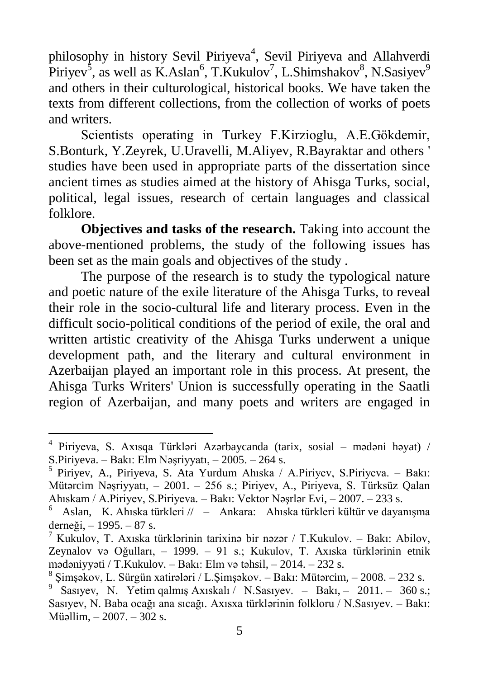philosophy in history Sevil Piriyeva<sup>4</sup>, Sevil Piriyeva and Allahverdi Piriyev<sup>5</sup>, as well as K.Aslan<sup>6</sup>, T.Kukulov<sup>7</sup>, L.Shimshakov<sup>8</sup>, N.Sasiyev<sup>9</sup> and others in their culturological, historical books. We have taken the texts from different collections, from the collection of works of poets and writers.

Scientists operating in Turkey F.Kirzioglu, A.E.Gökdemir, S.Bonturk, Y.Zeyrek, U.Uravelli, M.Aliyev, R.Bayraktar and others ' studies have been used in appropriate parts of the dissertation since ancient times as studies aimed at the history of Ahisga Turks, social, political, legal issues, research of certain languages and classical folklore.

**Objectives and tasks of the research.** Taking into account the above-mentioned problems, the study of the following issues has been set as the main goals and objectives of the study .

The purpose of the research is to study the typological nature and poetic nature of the exile literature of the Ahisga Turks, to reveal their role in the socio-cultural life and literary process. Even in the difficult socio-political conditions of the period of exile, the oral and written artistic creativity of the Ahisga Turks underwent a unique development path, and the literary and cultural environment in Azerbaijan played an important role in this process. At present, the Ahisga Turks Writers' Union is successfully operating in the Saatli region of Azerbaijan, and many poets and writers are engaged in

<sup>4</sup> Piriyeva, S. Axısqa Türkləri Azərbaycanda (tarix, sosial – mədəni həyat) / S.Piriyeva. – Bakı: Elm Nəşriyyatı, – 2005. – 264 s.

<sup>5</sup> Piriyev, A., Piriyeva, S. Ata Yurdum Ahıska / A.Piriyev, S.Piriyeva. – Bakı: Mütərcim Nəşriyyatı, – 2001. – 256 s.; Piriyev, A., Piriyeva, S. Türksüz Qalan Ahıskam / A.Piriyev, S.Piriyeva. – Bakı: Vektor Nəşrlər Evi, – 2007. – 233 s.

<sup>6</sup> Aslan, K. Ahıska türkleri // – Ankara: Ahıska türkleri kültür ve dayanışma derneği, – 1995. – 87 s.

<sup>7</sup> Kukulov, T. Axıska türklərinin tarixinə bir nəzər / T.Kukulov. – Bakı: Abilov, Zeynalov və Oğulları, – 1999. – 91 s.; Kukulov, T. Axıska türklərinin etnik mədəniyyəti / T.Kukulov. – Bakı: Elm və təhsil, – 2014. – 232 s.

<sup>8</sup> Şimşəkov, L. Sürgün xatirələri / L.Şimşəkov. – Bakı: Mütərcim, – 2008. – 232 s.

<sup>&</sup>lt;sup>9</sup> Sasıyev, N. Yetim qalmış Axıskalı / N.Sasıyev. – Bakı, – 2011. – 360 s.; Sasıyev, N. Baba ocağı ana sıcağı. Axısxa türklərinin folkloru / N.Sasıyev. – Bakı: Müəllim, – 2007. – 302 s.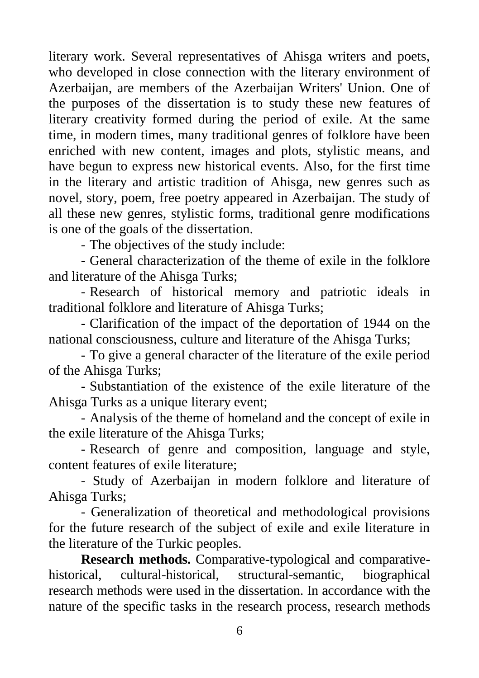literary work. Several representatives of Ahisga writers and poets, who developed in close connection with the literary environment of Azerbaijan, are members of the Azerbaijan Writers' Union. One of the purposes of the dissertation is to study these new features of literary creativity formed during the period of exile. At the same time, in modern times, many traditional genres of folklore have been enriched with new content, images and plots, stylistic means, and have begun to express new historical events. Also, for the first time in the literary and artistic tradition of Ahisga, new genres such as novel, story, poem, free poetry appeared in Azerbaijan. The study of all these new genres, stylistic forms, traditional genre modifications is one of the goals of the dissertation.

- The objectives of the study include:

- General characterization of the theme of exile in the folklore and literature of the Ahisga Turks;

- Research of historical memory and patriotic ideals in traditional folklore and literature of Ahisga Turks;

- Clarification of the impact of the deportation of 1944 on the national consciousness, culture and literature of the Ahisga Turks;

- To give a general character of the literature of the exile period of the Ahisga Turks;

- Substantiation of the existence of the exile literature of the Ahisga Turks as a unique literary event;

- Analysis of the theme of homeland and the concept of exile in the exile literature of the Ahisga Turks;

- Research of genre and composition, language and style, content features of exile literature;

- Study of Azerbaijan in modern folklore and literature of Ahisga Turks;

- Generalization of theoretical and methodological provisions for the future research of the subject of exile and exile literature in the literature of the Turkic peoples.

**Research methods.** Comparative-typological and comparativehistorical, cultural-historical, structural-semantic, biographical research methods were used in the dissertation. In accordance with the nature of the specific tasks in the research process, research methods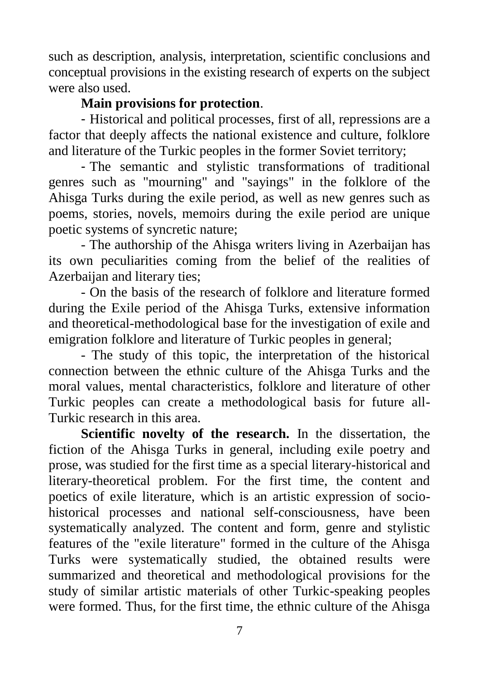such as description, analysis, interpretation, scientific conclusions and conceptual provisions in the existing research of experts on the subject were also used.

### **Main provisions for protection**.

- Historical and political processes, first of all, repressions are a factor that deeply affects the national existence and culture, folklore and literature of the Turkic peoples in the former Soviet territory;

- The semantic and stylistic transformations of traditional genres such as "mourning" and "sayings" in the folklore of the Ahisga Turks during the exile period, as well as new genres such as poems, stories, novels, memoirs during the exile period are unique poetic systems of syncretic nature;

- The authorship of the Ahisga writers living in Azerbaijan has its own peculiarities coming from the belief of the realities of Azerbaijan and literary ties;

- On the basis of the research of folklore and literature formed during the Exile period of the Ahisga Turks, extensive information and theoretical-methodological base for the investigation of exile and emigration folklore and literature of Turkic peoples in general;

- The study of this topic, the interpretation of the historical connection between the ethnic culture of the Ahisga Turks and the moral values, mental characteristics, folklore and literature of other Turkic peoples can create a methodological basis for future all-Turkic research in this area.

**Scientific novelty of the research.** In the dissertation, the fiction of the Ahisga Turks in general, including exile poetry and prose, was studied for the first time as a special literary-historical and literary-theoretical problem. For the first time, the content and poetics of exile literature, which is an artistic expression of sociohistorical processes and national self-consciousness, have been systematically analyzed. The content and form, genre and stylistic features of the "exile literature" formed in the culture of the Ahisga Turks were systematically studied, the obtained results were summarized and theoretical and methodological provisions for the study of similar artistic materials of other Turkic-speaking peoples were formed. Thus, for the first time, the ethnic culture of the Ahisga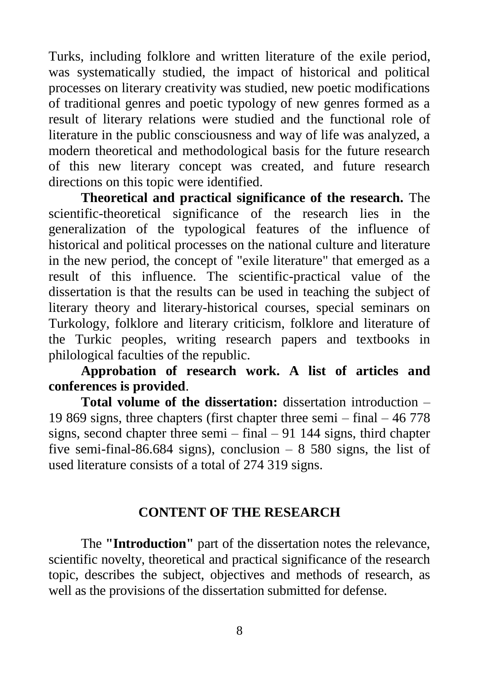Turks, including folklore and written literature of the exile period, was systematically studied, the impact of historical and political processes on literary creativity was studied, new poetic modifications of traditional genres and poetic typology of new genres formed as a result of literary relations were studied and the functional role of literature in the public consciousness and way of life was analyzed, a modern theoretical and methodological basis for the future research of this new literary concept was created, and future research directions on this topic were identified.

**Theoretical and practical significance of the research.** The scientific-theoretical significance of the research lies in the generalization of the typological features of the influence of historical and political processes on the national culture and literature in the new period, the concept of "exile literature" that emerged as a result of this influence. The scientific-practical value of the dissertation is that the results can be used in teaching the subject of literary theory and literary-historical courses, special seminars on Turkology, folklore and literary criticism, folklore and literature of the Turkic peoples, writing research papers and textbooks in philological faculties of the republic.

**Approbation of research work. A list of articles and conferences is provided**.

**Total volume of the dissertation:** dissertation introduction – 19 869 signs, three chapters (first chapter three semi – final – 46 778 signs, second chapter three semi  $-$  final  $-$  91 144 signs, third chapter five semi-final-86.684 signs), conclusion  $-8,580$  signs, the list of used literature consists of a total of 274 319 signs.

#### **CONTENT OF THE RESEARCH**

The **"Introduction"** part of the dissertation notes the relevance, scientific novelty, theoretical and practical significance of the research topic, describes the subject, objectives and methods of research, as well as the provisions of the dissertation submitted for defense.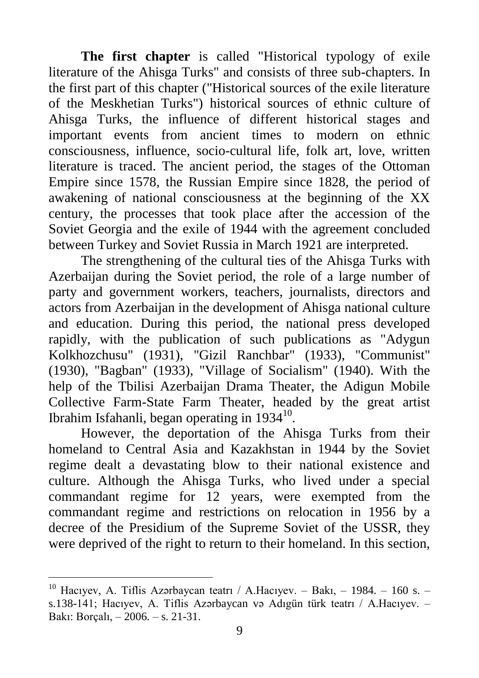**The first chapter** is called "Historical typology of exile literature of the Ahisga Turks" and consists of three sub-chapters. In the first part of this chapter ("Historical sources of the exile literature of the Meskhetian Turks") historical sources of ethnic culture of Ahisga Turks, the influence of different historical stages and important events from ancient times to modern on ethnic consciousness, influence, socio-cultural life, folk art, love, written literature is traced. The ancient period, the stages of the Ottoman Empire since 1578, the Russian Empire since 1828, the period of awakening of national consciousness at the beginning of the XX century, the processes that took place after the accession of the Soviet Georgia and the exile of 1944 with the agreement concluded between Turkey and Soviet Russia in March 1921 are interpreted.

The strengthening of the cultural ties of the Ahisga Turks with Azerbaijan during the Soviet period, the role of a large number of party and government workers, teachers, journalists, directors and actors from Azerbaijan in the development of Ahisga national culture and education. During this period, the national press developed rapidly, with the publication of such publications as "Adygun Kolkhozchusu" (1931), "Gizil Ranchbar" (1933), "Communist" (1930), "Bagban" (1933), "Village of Socialism" (1940). With the help of the Tbilisi Azerbaijan Drama Theater, the Adigun Mobile Collective Farm-State Farm Theater, headed by the great artist Ibrahim Isfahanli, began operating in  $1934^{10}$ .

However, the deportation of the Ahisga Turks from their homeland to Central Asia and Kazakhstan in 1944 by the Soviet regime dealt a devastating blow to their national existence and culture. Although the Ahisga Turks, who lived under a special commandant regime for 12 years, were exempted from the commandant regime and restrictions on relocation in 1956 by a decree of the Presidium of the Supreme Soviet of the USSR, they were deprived of the right to return to their homeland. In this section,

<sup>&</sup>lt;sup>10</sup> Hacıvev, A. Tiflis Azərbaycan teatrı / A.Hacıyev. – Bakı, – 1984. – 160 s. – s.138-141; Hacıyev, A. Tiflis Azərbaycan və Adıgün türk teatrı / A.Hacıyev. – Bakı: Borçalı, – 2006. – s. 21-31.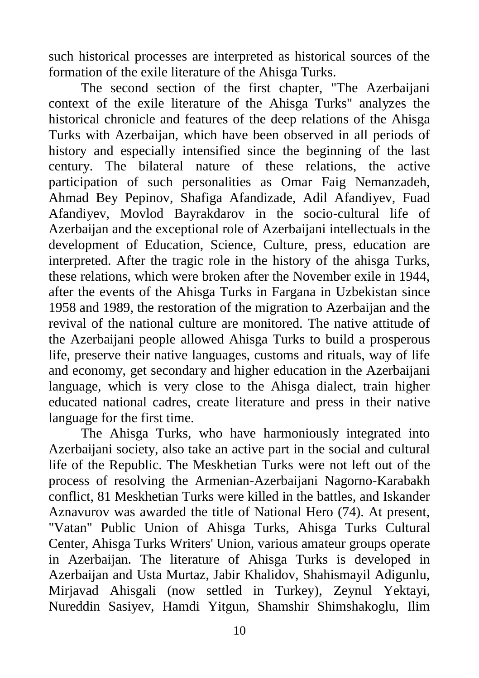such historical processes are interpreted as historical sources of the formation of the exile literature of the Ahisga Turks.

The second section of the first chapter, "The Azerbaijani context of the exile literature of the Ahisga Turks" analyzes the historical chronicle and features of the deep relations of the Ahisga Turks with Azerbaijan, which have been observed in all periods of history and especially intensified since the beginning of the last century. The bilateral nature of these relations, the active participation of such personalities as Omar Faig Nemanzadeh, Ahmad Bey Pepinov, Shafiga Afandizade, Adil Afandiyev, Fuad Afandiyev, Movlod Bayrakdarov in the socio-cultural life of Azerbaijan and the exceptional role of Azerbaijani intellectuals in the development of Education, Science, Culture, press, education are interpreted. After the tragic role in the history of the ahisga Turks, these relations, which were broken after the November exile in 1944, after the events of the Ahisga Turks in Fargana in Uzbekistan since 1958 and 1989, the restoration of the migration to Azerbaijan and the revival of the national culture are monitored. The native attitude of the Azerbaijani people allowed Ahisga Turks to build a prosperous life, preserve their native languages, customs and rituals, way of life and economy, get secondary and higher education in the Azerbaijani language, which is very close to the Ahisga dialect, train higher educated national cadres, create literature and press in their native language for the first time.

The Ahisga Turks, who have harmoniously integrated into Azerbaijani society, also take an active part in the social and cultural life of the Republic. The Meskhetian Turks were not left out of the process of resolving the Armenian-Azerbaijani Nagorno-Karabakh conflict, 81 Meskhetian Turks were killed in the battles, and Iskander Aznavurov was awarded the title of National Hero (74). At present, "Vatan" Public Union of Ahisga Turks, Ahisga Turks Cultural Center, Ahisga Turks Writers' Union, various amateur groups operate in Azerbaijan. The literature of Ahisga Turks is developed in Azerbaijan and Usta Murtaz, Jabir Khalidov, Shahismayil Adigunlu, Mirjavad Ahisgali (now settled in Turkey), Zeynul Yektayi, Nureddin Sasiyev, Hamdi Yitgun, Shamshir Shimshakoglu, Ilim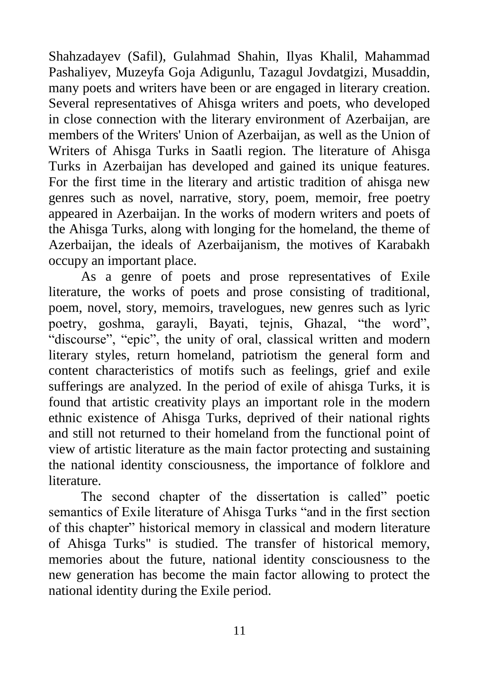Shahzadayev (Safil), Gulahmad Shahin, Ilyas Khalil, Mahammad Pashaliyev, Muzeyfa Goja Adigunlu, Tazagul Jovdatgizi, Musaddin, many poets and writers have been or are engaged in literary creation. Several representatives of Ahisga writers and poets, who developed in close connection with the literary environment of Azerbaijan, are members of the Writers' Union of Azerbaijan, as well as the Union of Writers of Ahisga Turks in Saatli region. The literature of Ahisga Turks in Azerbaijan has developed and gained its unique features. For the first time in the literary and artistic tradition of ahisga new genres such as novel, narrative, story, poem, memoir, free poetry appeared in Azerbaijan. In the works of modern writers and poets of the Ahisga Turks, along with longing for the homeland, the theme of Azerbaijan, the ideals of Azerbaijanism, the motives of Karabakh occupy an important place.

As a genre of poets and prose representatives of Exile literature, the works of poets and prose consisting of traditional, poem, novel, story, memoirs, travelogues, new genres such as lyric poetry, goshma, garayli, Bayati, tejnis, Ghazal, "the word", "discourse", "epic", the unity of oral, classical written and modern literary styles, return homeland, patriotism the general form and content characteristics of motifs such as feelings, grief and exile sufferings are analyzed. In the period of exile of ahisga Turks, it is found that artistic creativity plays an important role in the modern ethnic existence of Ahisga Turks, deprived of their national rights and still not returned to their homeland from the functional point of view of artistic literature as the main factor protecting and sustaining the national identity consciousness, the importance of folklore and literature.

The second chapter of the dissertation is called" poetic semantics of Exile literature of Ahisga Turks "and in the first section of this chapter" historical memory in classical and modern literature of Ahisga Turks" is studied. The transfer of historical memory, memories about the future, national identity consciousness to the new generation has become the main factor allowing to protect the national identity during the Exile period.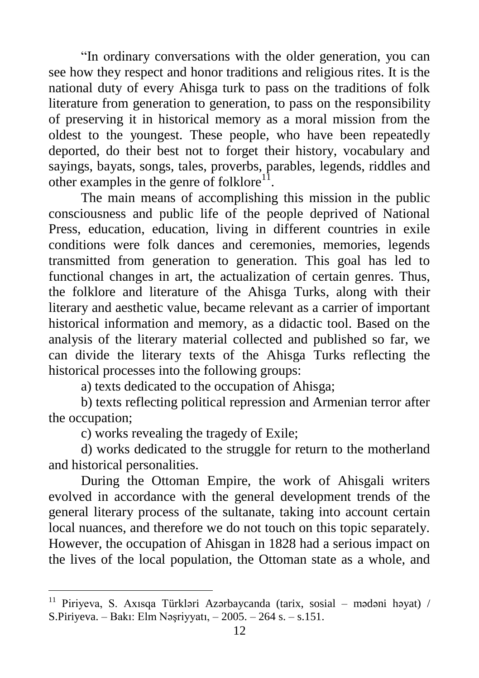"In ordinary conversations with the older generation, you can see how they respect and honor traditions and religious rites. It is the national duty of every Ahisga turk to pass on the traditions of folk literature from generation to generation, to pass on the responsibility of preserving it in historical memory as a moral mission from the oldest to the youngest. These people, who have been repeatedly deported, do their best not to forget their history, vocabulary and sayings, bayats, songs, tales, proverbs, parables, legends, riddles and other examples in the genre of folklore $^{11}$ .

The main means of accomplishing this mission in the public consciousness and public life of the people deprived of National Press, education, education, living in different countries in exile conditions were folk dances and ceremonies, memories, legends transmitted from generation to generation. This goal has led to functional changes in art, the actualization of certain genres. Thus, the folklore and literature of the Ahisga Turks, along with their literary and aesthetic value, became relevant as a carrier of important historical information and memory, as a didactic tool. Based on the analysis of the literary material collected and published so far, we can divide the literary texts of the Ahisga Turks reflecting the historical processes into the following groups:

a) texts dedicated to the occupation of Ahisga;

b) texts reflecting political repression and Armenian terror after the occupation;

c) works revealing the tragedy of Exile;

d) works dedicated to the struggle for return to the motherland and historical personalities.

During the Ottoman Empire, the work of Ahisgali writers evolved in accordance with the general development trends of the general literary process of the sultanate, taking into account certain local nuances, and therefore we do not touch on this topic separately. However, the occupation of Ahisgan in 1828 had a serious impact on the lives of the local population, the Ottoman state as a whole, and

<sup>11</sup> Piriyeva, S. Axısqa Türkləri Azərbaycanda (tarix, sosial – mədəni həyat) / S.Piriyeva. – Bakı: Elm Nəşriyyatı, – 2005. – 264 s. – s.151.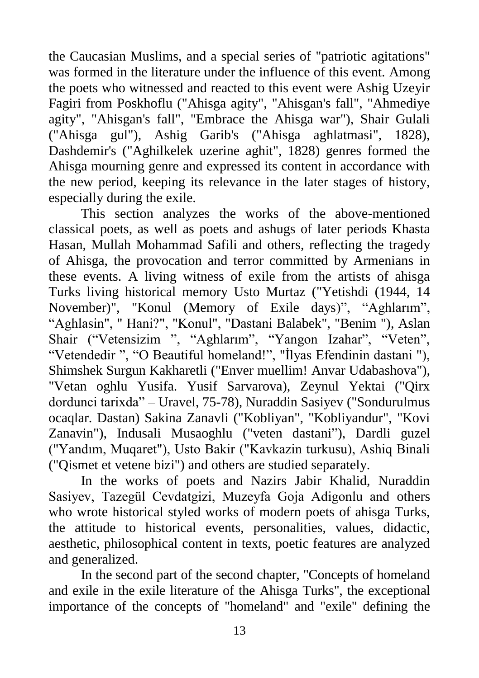the Caucasian Muslims, and a special series of "patriotic agitations" was formed in the literature under the influence of this event. Among the poets who witnessed and reacted to this event were Ashig Uzeyir Fagiri from Poskhoflu ("Ahisga agity", "Ahisgan's fall", "Ahmediye agity", "Ahisgan's fall", "Embrace the Ahisga war"), Shair Gulali ("Ahisga gul"), Ashig Garib's ("Ahisga aghlatmasi", 1828), Dashdemir's ("Aghilkelek uzerine aghit", 1828) genres formed the Ahisga mourning genre and expressed its content in accordance with the new period, keeping its relevance in the later stages of history, especially during the exile.

This section analyzes the works of the above-mentioned classical poets, as well as poets and ashugs of later periods Khasta Hasan, Mullah Mohammad Safili and others, reflecting the tragedy of Ahisga, the provocation and terror committed by Armenians in these events. A living witness of exile from the artists of ahisga Turks living historical memory Usto Murtaz ("Yetishdi (1944, 14 November)", "Konul (Memory of Exile days)", "Aghlarım", "Aghlasin", " Hani?", "Konul", "Dastani Balabek", "Benim "), Aslan Shair ("Vetensizim ", "Aghlarım", "Yangon Izahar", "Veten", "Vetendedir ", "O Beautiful homeland!", "İlyas Efendinin dastani "), Shimshek Surgun Kakharetli ("Enver muellim! Anvar Udabashova"), "Vetan oghlu Yusifa. Yusif Sarvarova), Zeynul Yektai ("Qirx dordunci tarixda" – Uravel, 75-78), Nuraddin Sasiyev ("Sondurulmus ocaqlar. Dastan) Sakina Zanavli ("Kobliyan", "Kobliyandur", "Kovi Zanavin"), Indusali Musaoghlu ("veten dastani"), Dardli guzel ("Yandım, Muqaret"), Usto Bakir ("Kavkazin turkusu), Ashiq Binali ("Qismet et vetene bizi") and others are studied separately.

In the works of poets and Nazirs Jabir Khalid, Nuraddin Sasiyev, Tazegül Cevdatgizi, Muzeyfa Goja Adigonlu and others who wrote historical styled works of modern poets of ahisga Turks, the attitude to historical events, personalities, values, didactic, aesthetic, philosophical content in texts, poetic features are analyzed and generalized.

In the second part of the second chapter, "Concepts of homeland and exile in the exile literature of the Ahisga Turks", the exceptional importance of the concepts of "homeland" and "exile" defining the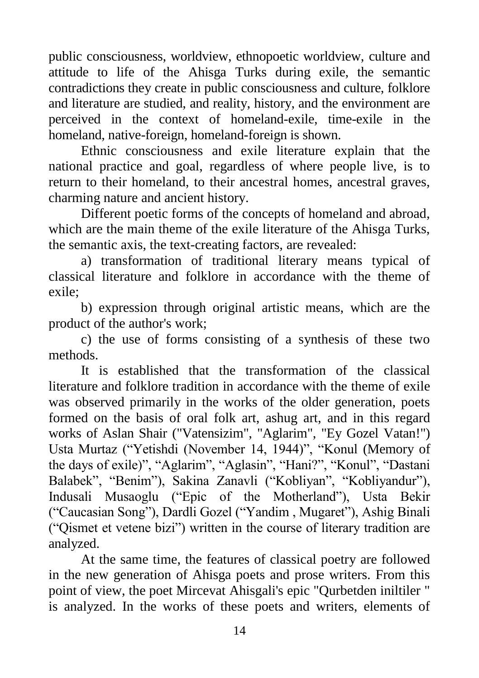public consciousness, worldview, ethnopoetic worldview, culture and attitude to life of the Ahisga Turks during exile, the semantic contradictions they create in public consciousness and culture, folklore and literature are studied, and reality, history, and the environment are perceived in the context of homeland-exile, time-exile in the homeland, native-foreign, homeland-foreign is shown.

Ethnic consciousness and exile literature explain that the national practice and goal, regardless of where people live, is to return to their homeland, to their ancestral homes, ancestral graves, charming nature and ancient history.

Different poetic forms of the concepts of homeland and abroad, which are the main theme of the exile literature of the Ahisga Turks, the semantic axis, the text-creating factors, are revealed:

a) transformation of traditional literary means typical of classical literature and folklore in accordance with the theme of exile;

b) expression through original artistic means, which are the product of the author's work;

c) the use of forms consisting of a synthesis of these two methods.

It is established that the transformation of the classical literature and folklore tradition in accordance with the theme of exile was observed primarily in the works of the older generation, poets formed on the basis of oral folk art, ashug art, and in this regard works of Aslan Shair ("Vatensizim", "Aglarim", "Ey Gozel Vatan!") Usta Murtaz ("Yetishdi (November 14, 1944)", "Konul (Memory of the days of exile)", "Aglarim", "Aglasin", "Hani?", "Konul", "Dastani Balabek", "Benim"), Sakina Zanavli ("Kobliyan", "Kobliyandur"), Indusali Musaoglu ("Epic of the Motherland"), Usta Bekir ("Caucasian Song"), Dardli Gozel ("Yandim , Mugaret"), Ashig Binali ("Qismet et vetene bizi") written in the course of literary tradition are analyzed.

At the same time, the features of classical poetry are followed in the new generation of Ahisga poets and prose writers. From this point of view, the poet Mircevat Ahisgali's epic "Qurbetden iniltiler " is analyzed. In the works of these poets and writers, elements of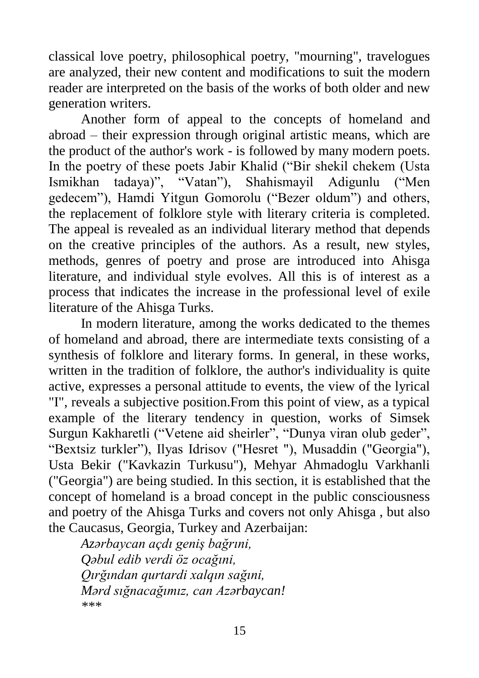classical love poetry, philosophical poetry, "mourning", travelogues are analyzed, their new content and modifications to suit the modern reader are interpreted on the basis of the works of both older and new generation writers.

Another form of appeal to the concepts of homeland and abroad – their expression through original artistic means, which are the product of the author's work - is followed by many modern poets. In the poetry of these poets Jabir Khalid ("Bir shekil chekem (Usta Ismikhan tadaya)", "Vatan"), Shahismayil Adigunlu ("Men gedecem"), Hamdi Yitgun Gomorolu ("Bezer oldum") and others, the replacement of folklore style with literary criteria is completed. The appeal is revealed as an individual literary method that depends on the creative principles of the authors. As a result, new styles, methods, genres of poetry and prose are introduced into Ahisga literature, and individual style evolves. All this is of interest as a process that indicates the increase in the professional level of exile literature of the Ahisga Turks.

In modern literature, among the works dedicated to the themes of homeland and abroad, there are intermediate texts consisting of a synthesis of folklore and literary forms. In general, in these works, written in the tradition of folklore, the author's individuality is quite active, expresses a personal attitude to events, the view of the lyrical "I", reveals a subjective position.From this point of view, as a typical example of the literary tendency in question, works of Simsek Surgun Kakharetli ("Vetene aid sheirler", "Dunya viran olub geder", "Bextsiz turkler"), Ilyas Idrisov ("Hesret "), Musaddin ("Georgia"), Usta Bekir ("Kavkazin Turkusu"), Mehyar Ahmadoglu Varkhanli ("Georgia") are being studied. In this section, it is established that the concept of homeland is a broad concept in the public consciousness and poetry of the Ahisga Turks and covers not only Ahisga , but also the Caucasus, Georgia, Turkey and Azerbaijan:

*Azərbaycan açdı geniş bağrıni, Qəbul edib verdi öz ocağıni, Qırğından qurtardi xalqın sağıni, Mərd sığnacağımız, can Azərbaycan! \*\*\**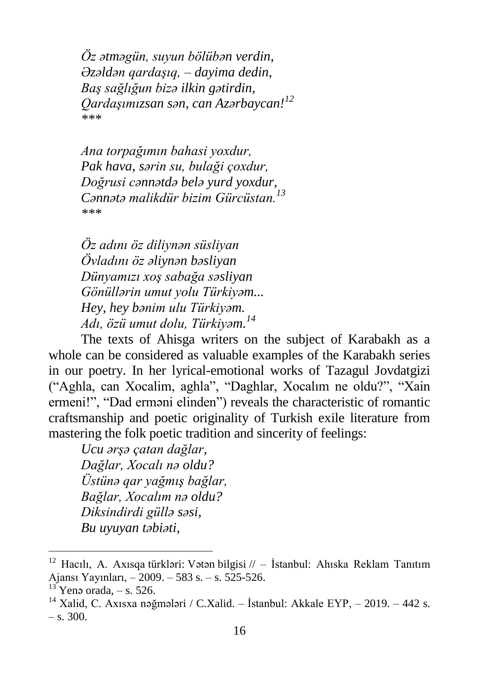*Öz ətməgün, suyun bölübən verdin, Əzəldən qardaşıq, – dayima dedin, Baş sağlığun bizə ilkin gətirdin, Qardaşımızsan sən, can Azərbaycan!<sup>12</sup> \*\*\**

*Ana torpağımın bahasi yoxdur, Pak hava, sərin su, bulaği çoxdur, Doğrusi cənnətdə belə yurd yoxdur, Cənnətə malikdür bizim Gürcüstan.<sup>13</sup> \*\*\**

*Öz adını öz diliynən süsliyan Övladını öz əliynən bəsliyan Dünyamızı xoş sabağa səsliyan Gönüllərin umut yolu Türkiyəm... Hey, hey bənim ulu Türkiyəm. Adı, özü umut dolu, Türkiyəm. 14*

The texts of Ahisga writers on the subject of Karabakh as a whole can be considered as valuable examples of the Karabakh series in our poetry. In her lyrical-emotional works of Tazagul Jovdatgizi ("Aghla, can Xocalim, aghla", "Daghlar, Xocalım ne oldu?", "Xain ermeni!", "Dad erməni elinden") reveals the characteristic of romantic craftsmanship and poetic originality of Turkish exile literature from mastering the folk poetic tradition and sincerity of feelings:

*Ucu ərşə çatan dağlar, Dağlar, Xocalı nə oldu? Üstünə qar yağmış bağlar, Bağlar, Xocalım nə oldu? Diksindirdi güllə səsi, Bu uyuyan təbiəti,*

<sup>&</sup>lt;sup>12</sup> Hacılı, A. Axısqa türkləri: Vətən bilgisi // – İstanbul: Ahıska Reklam Tanıtım Ajansı Yayınları, – 2009. – 583 s. – s. 525-526.

 $13$  Yenə orada,  $-$  s. 526.

<sup>&</sup>lt;sup>14</sup> Xalid, C. Axısxa nəğmələri / C.Xalid. – İstanbul: Akkale EYP, – 2019. – 442 s.  $-$  s. 300.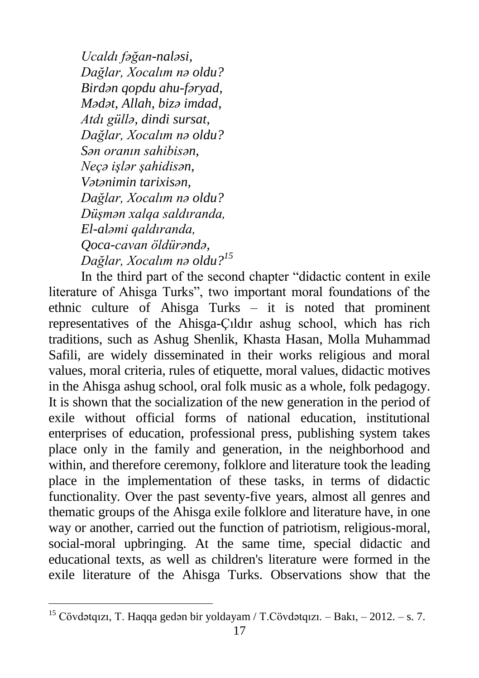*Ucaldı fəğan-naləsi, Dağlar, Xocalım nə oldu? Birdən qopdu ahu-fəryad, Mədət, Allah, bizə imdad, Atdı güllə, dindi sursat, Dağlar, Xocalım nə oldu? Sən oranın sahibisən, Neçə işlər şahidisən, Vətənimin tarixisən, Dağlar, Xocalım nə oldu? Düşmən xalqa saldıranda, El-aləmi qaldıranda, Qoca-cavan öldürəndə, Dağlar, Xocalım nə oldu?<sup>15</sup>*

In the third part of the second chapter "didactic content in exile literature of Ahisga Turks", two important moral foundations of the ethnic culture of Ahisga Turks – it is noted that prominent representatives of the Ahisga-Çıldır ashug school, which has rich traditions, such as Ashug Shenlik, Khasta Hasan, Molla Muhammad Safili, are widely disseminated in their works religious and moral values, moral criteria, rules of etiquette, moral values, didactic motives in the Ahisga ashug school, oral folk music as a whole, folk pedagogy. It is shown that the socialization of the new generation in the period of exile without official forms of national education, institutional enterprises of education, professional press, publishing system takes place only in the family and generation, in the neighborhood and within, and therefore ceremony, folklore and literature took the leading place in the implementation of these tasks, in terms of didactic functionality. Over the past seventy-five years, almost all genres and thematic groups of the Ahisga exile folklore and literature have, in one way or another, carried out the function of patriotism, religious-moral, social-moral upbringing. At the same time, special didactic and educational texts, as well as children's literature were formed in the exile literature of the Ahisga Turks. Observations show that the

<sup>15</sup> Cövdətqızı, T. Haqqa gedən bir yoldayam / T.Cövdətqızı. – Bakı, – 2012. – s. 7.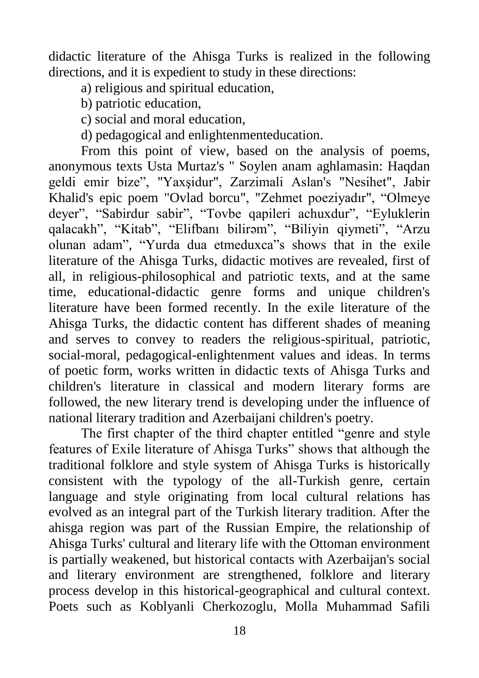didactic literature of the Ahisga Turks is realized in the following directions, and it is expedient to study in these directions:

a) religious and spiritual education,

b) patriotic education,

c) social and moral education,

d) pedagogical and enlightenmenteducation.

From this point of view, based on the analysis of poems, anonymous texts Usta Murtaz's " Soylen anam aghlamasin: Haqdan geldi emir bize", "Yaxşidur", Zarzimali Aslan's "Nesihet", Jabir Khalid's epic poem "Ovlad borcu", "Zehmet poeziyadır", "Olmeye deyer", "Sabirdur sabir", "Tovbe qapileri achuxdur", "Eyluklerin qalacakh", "Kitab", "Elifbanı bilirəm", "Biliyin qiymeti", "Arzu olunan adam", "Yurda dua etmeduxca"s shows that in the exile literature of the Ahisga Turks, didactic motives are revealed, first of all, in religious-philosophical and patriotic texts, and at the same time, educational-didactic genre forms and unique children's literature have been formed recently. In the exile literature of the Ahisga Turks, the didactic content has different shades of meaning and serves to convey to readers the religious-spiritual, patriotic, social-moral, pedagogical-enlightenment values and ideas. In terms of poetic form, works written in didactic texts of Ahisga Turks and children's literature in classical and modern literary forms are followed, the new literary trend is developing under the influence of national literary tradition and Azerbaijani children's poetry.

The first chapter of the third chapter entitled "genre and style features of Exile literature of Ahisga Turks" shows that although the traditional folklore and style system of Ahisga Turks is historically consistent with the typology of the all-Turkish genre, certain language and style originating from local cultural relations has evolved as an integral part of the Turkish literary tradition. After the ahisga region was part of the Russian Empire, the relationship of Ahisga Turks' cultural and literary life with the Ottoman environment is partially weakened, but historical contacts with Azerbaijan's social and literary environment are strengthened, folklore and literary process develop in this historical-geographical and cultural context. Poets such as Koblyanli Cherkozoglu, Molla Muhammad Safili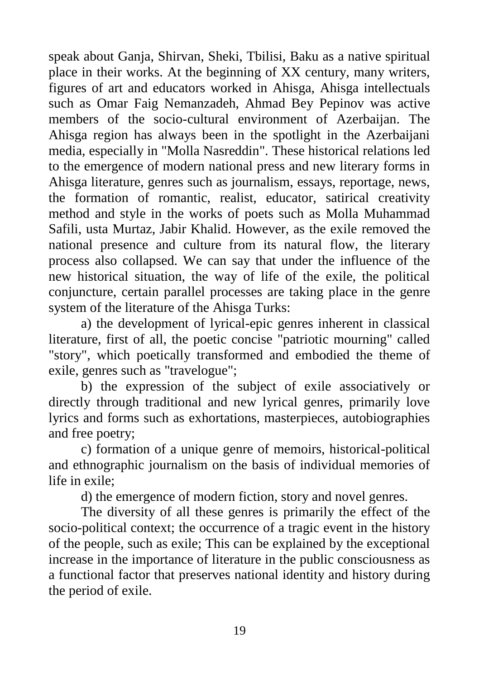speak about Ganja, Shirvan, Sheki, Tbilisi, Baku as a native spiritual place in their works. At the beginning of XX century, many writers, figures of art and educators worked in Ahisga, Ahisga intellectuals such as Omar Faig Nemanzadeh, Ahmad Bey Pepinov was active members of the socio-cultural environment of Azerbaijan. The Ahisga region has always been in the spotlight in the Azerbaijani media, especially in "Molla Nasreddin". These historical relations led to the emergence of modern national press and new literary forms in Ahisga literature, genres such as journalism, essays, reportage, news, the formation of romantic, realist, educator, satirical creativity method and style in the works of poets such as Molla Muhammad Safili, usta Murtaz, Jabir Khalid. However, as the exile removed the national presence and culture from its natural flow, the literary process also collapsed. We can say that under the influence of the new historical situation, the way of life of the exile, the political conjuncture, certain parallel processes are taking place in the genre system of the literature of the Ahisga Turks:

a) the development of lyrical-epic genres inherent in classical literature, first of all, the poetic concise "patriotic mourning" called "story", which poetically transformed and embodied the theme of exile, genres such as "travelogue";

b) the expression of the subject of exile associatively or directly through traditional and new lyrical genres, primarily love lyrics and forms such as exhortations, masterpieces, autobiographies and free poetry;

c) formation of a unique genre of memoirs, historical-political and ethnographic journalism on the basis of individual memories of life in exile;

d) the emergence of modern fiction, story and novel genres.

The diversity of all these genres is primarily the effect of the socio-political context; the occurrence of a tragic event in the history of the people, such as exile; This can be explained by the exceptional increase in the importance of literature in the public consciousness as a functional factor that preserves national identity and history during the period of exile.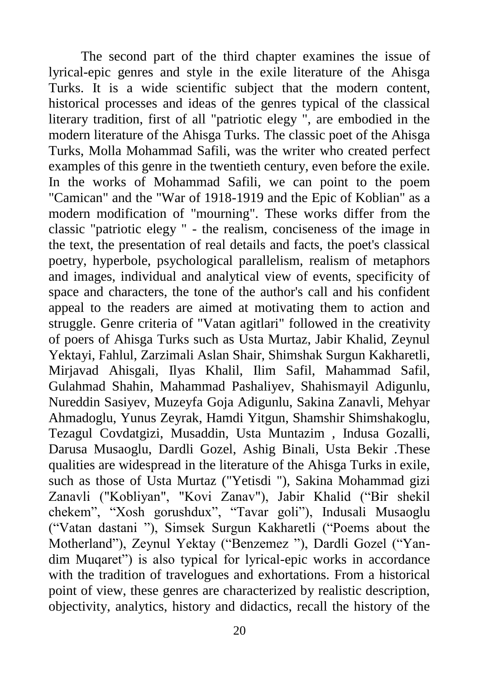The second part of the third chapter examines the issue of lyrical-epic genres and style in the exile literature of the Ahisga Turks. It is a wide scientific subject that the modern content, historical processes and ideas of the genres typical of the classical literary tradition, first of all "patriotic elegy ", are embodied in the modern literature of the Ahisga Turks. The classic poet of the Ahisga Turks, Molla Mohammad Safili, was the writer who created perfect examples of this genre in the twentieth century, even before the exile. In the works of Mohammad Safili, we can point to the poem "Camican" and the "War of 1918-1919 and the Epic of Koblian" as a modern modification of "mourning". These works differ from the classic "patriotic elegy " - the realism, conciseness of the image in the text, the presentation of real details and facts, the poet's classical poetry, hyperbole, psychological parallelism, realism of metaphors and images, individual and analytical view of events, specificity of space and characters, the tone of the author's call and his confident appeal to the readers are aimed at motivating them to action and struggle. Genre criteria of "Vatan agitlari" followed in the creativity of poers of Ahisga Turks such as Usta Murtaz, Jabir Khalid, Zeynul Yektayi, Fahlul, Zarzimali Aslan Shair, Shimshak Surgun Kakharetli, Mirjavad Ahisgali, Ilyas Khalil, Ilim Safil, Mahammad Safil, Gulahmad Shahin, Mahammad Pashaliyev, Shahismayil Adigunlu, Nureddin Sasiyev, Muzeyfa Goja Adigunlu, Sakina Zanavli, Mehyar Ahmadoglu, Yunus Zeyrak, Hamdi Yitgun, Shamshir Shimshakoglu, Tezagul Covdatgizi, Musaddin, Usta Muntazim , Indusa Gozalli, Darusa Musaoglu, Dardli Gozel, Ashig Binali, Usta Bekir .These qualities are widespread in the literature of the Ahisga Turks in exile, such as those of Usta Murtaz ("Yetisdi "), Sakina Mohammad gizi Zanavli ("Kobliyan", "Kovi Zanav"), Jabir Khalid ("Bir shekil chekem", "Xosh gorushdux", "Tavar goli"), Indusali Musaoglu ("Vatan dastani "), Simsek Surgun Kakharetli ("Poems about the Motherland"), Zeynul Yektay ("Benzemez "), Dardli Gozel ("Yandim Muqaret") is also typical for lyrical-epic works in accordance with the tradition of travelogues and exhortations. From a historical point of view, these genres are characterized by realistic description, objectivity, analytics, history and didactics, recall the history of the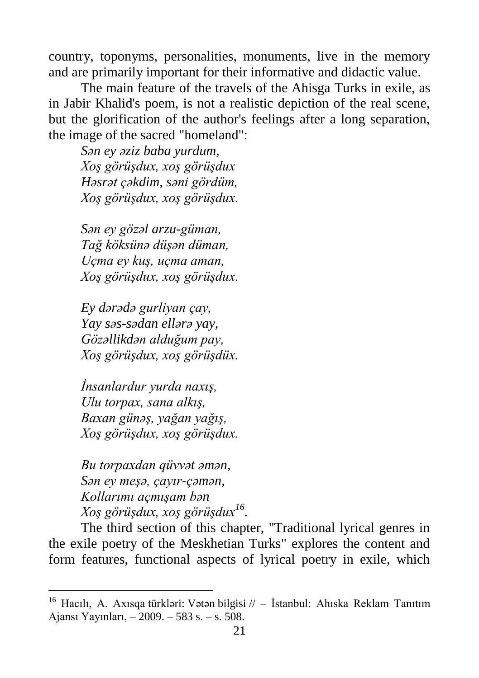country, toponyms, personalities, monuments, live in the memory and are primarily important for their informative and didactic value.

The main feature of the travels of the Ahisga Turks in exile, as in Jabir Khalid's poem, is not a realistic depiction of the real scene, but the glorification of the author's feelings after a long separation, the image of the sacred "homeland":

*Sən ey əziz baba yurdum, Xoş görüşdux, xoş görüşdux Həsrət çəkdim, səni gördüm, Xoş görüşdux, xoş görüşdux.*

*Sən ey gözəl arzu-güman, Tağ köksünə düşən düman, Uçma ey kuş, uçma aman, Xoş görüşdux, xoş görüşdux.*

*Ey dərədə gurliyan çay, Yay səs-sədan ellərə yay, Gözəllikdən alduğum pay, Xoş görüşdux, xoş görüşdüx.*

*İnsanlardur yurda naxış, Ulu torpax, sana alkış, Baxan günəş, yağan yağış, Xoş görüşdux, xoş görüşdux.*

*Bu torpaxdan qüvvət əmən, Sən ey meşə, çayır-çəmən, Kollarımı açmışam bən Xoş görüşdux, xoş görüşdux<sup>16</sup> .*

The third section of this chapter, "Traditional lyrical genres in the exile poetry of the Meskhetian Turks" explores the content and form features, functional aspects of lyrical poetry in exile, which

<sup>16</sup> Hacılı, A. Axısqa türkləri: Vətən bilgisi // – İstanbul: Ahıska Reklam Tanıtım Ajansı Yayınları, – 2009. – 583 s. – s. 508.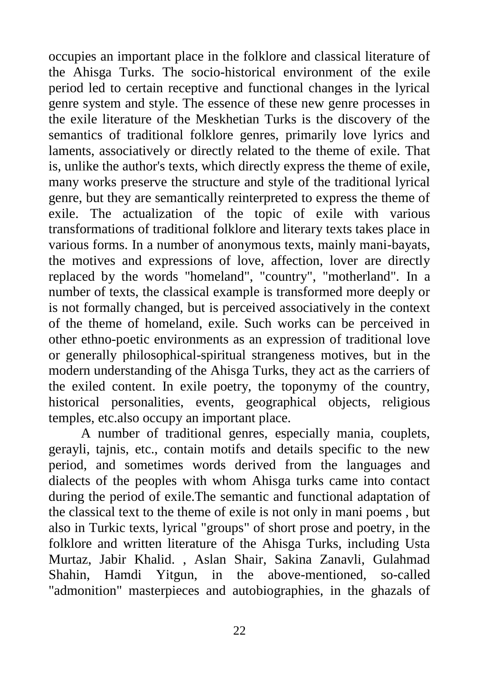occupies an important place in the folklore and classical literature of the Ahisga Turks. The socio-historical environment of the exile period led to certain receptive and functional changes in the lyrical genre system and style. The essence of these new genre processes in the exile literature of the Meskhetian Turks is the discovery of the semantics of traditional folklore genres, primarily love lyrics and laments, associatively or directly related to the theme of exile. That is, unlike the author's texts, which directly express the theme of exile, many works preserve the structure and style of the traditional lyrical genre, but they are semantically reinterpreted to express the theme of exile. The actualization of the topic of exile with various transformations of traditional folklore and literary texts takes place in various forms. In a number of anonymous texts, mainly mani-bayats, the motives and expressions of love, affection, lover are directly replaced by the words "homeland", "country", "motherland". In a number of texts, the classical example is transformed more deeply or is not formally changed, but is perceived associatively in the context of the theme of homeland, exile. Such works can be perceived in other ethno-poetic environments as an expression of traditional love or generally philosophical-spiritual strangeness motives, but in the modern understanding of the Ahisga Turks, they act as the carriers of the exiled content. In exile poetry, the toponymy of the country, historical personalities, events, geographical objects, religious temples, etc.also occupy an important place.

A number of traditional genres, especially mania, couplets, gerayli, tajnis, etc., contain motifs and details specific to the new period, and sometimes words derived from the languages and dialects of the peoples with whom Ahisga turks came into contact during the period of exile.The semantic and functional adaptation of the classical text to the theme of exile is not only in mani poems , but also in Turkic texts, lyrical "groups" of short prose and poetry, in the folklore and written literature of the Ahisga Turks, including Usta Murtaz, Jabir Khalid. , Aslan Shair, Sakina Zanavli, Gulahmad Shahin, Hamdi Yitgun, in the above-mentioned, so-called "admonition" masterpieces and autobiographies, in the ghazals of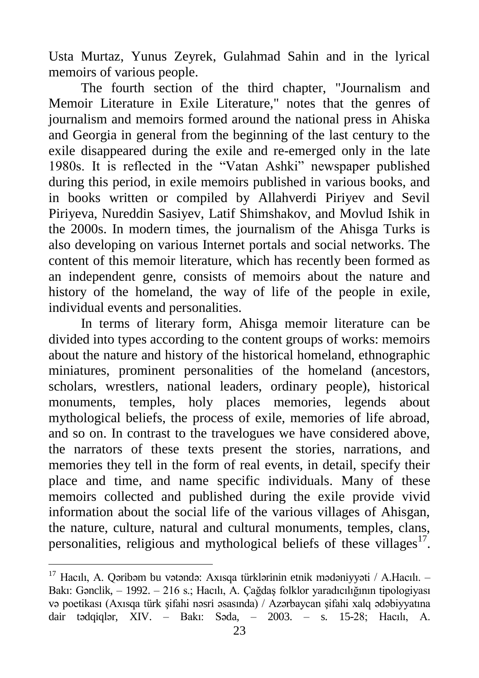Usta Murtaz, Yunus Zeyrek, Gulahmad Sahin and in the lyrical memoirs of various people.

The fourth section of the third chapter, "Journalism and Memoir Literature in Exile Literature," notes that the genres of journalism and memoirs formed around the national press in Ahiska and Georgia in general from the beginning of the last century to the exile disappeared during the exile and re-emerged only in the late 1980s. It is reflected in the "Vatan Ashki" newspaper published during this period, in exile memoirs published in various books, and in books written or compiled by Allahverdi Piriyev and Sevil Piriyeva, Nureddin Sasiyev, Latif Shimshakov, and Movlud Ishik in the 2000s. In modern times, the journalism of the Ahisga Turks is also developing on various Internet portals and social networks. The content of this memoir literature, which has recently been formed as an independent genre, consists of memoirs about the nature and history of the homeland, the way of life of the people in exile, individual events and personalities.

In terms of literary form, Ahisga memoir literature can be divided into types according to the content groups of works: memoirs about the nature and history of the historical homeland, ethnographic miniatures, prominent personalities of the homeland (ancestors, scholars, wrestlers, national leaders, ordinary people), historical monuments, temples, holy places memories, legends about mythological beliefs, the process of exile, memories of life abroad, and so on. In contrast to the travelogues we have considered above, the narrators of these texts present the stories, narrations, and memories they tell in the form of real events, in detail, specify their place and time, and name specific individuals. Many of these memoirs collected and published during the exile provide vivid information about the social life of the various villages of Ahisgan, the nature, culture, natural and cultural monuments, temples, clans, personalities, religious and mythological beliefs of these villages $17$ .

<sup>&</sup>lt;sup>17</sup> Hacılı, A. Qəribəm bu vətəndə: Axısqa türklərinin etnik mədəniyyəti / A.Hacılı. – Bakı: Gənclik, – 1992. – 216 s.; Hacılı, A. Çağdaş folklor yaradıcılığının tipologiyası və poetikası (Axısqa türk şifahi nəsri əsasında) / Azərbaycan şifahi xalq ədəbiyyatına dair tədqiqlər, XIV. – Bakı: Səda, – 2003. – s. 15-28; Hacılı, A.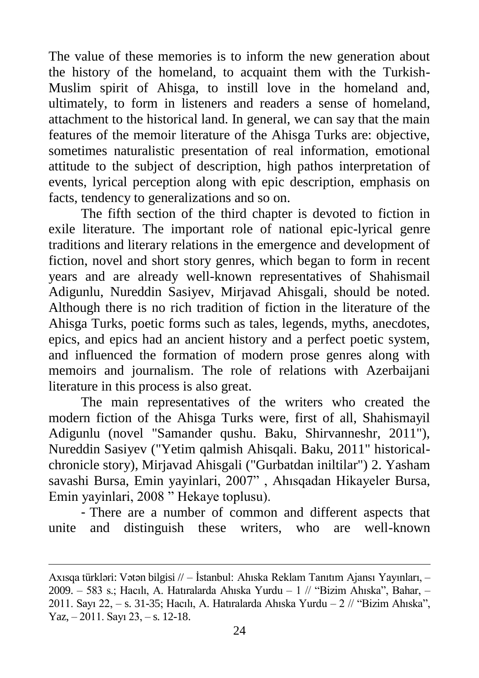The value of these memories is to inform the new generation about the history of the homeland, to acquaint them with the Turkish-Muslim spirit of Ahisga, to instill love in the homeland and, ultimately, to form in listeners and readers a sense of homeland, attachment to the historical land. In general, we can say that the main features of the memoir literature of the Ahisga Turks are: objective, sometimes naturalistic presentation of real information, emotional attitude to the subject of description, high pathos interpretation of events, lyrical perception along with epic description, emphasis on facts, tendency to generalizations and so on.

The fifth section of the third chapter is devoted to fiction in exile literature. The important role of national epic-lyrical genre traditions and literary relations in the emergence and development of fiction, novel and short story genres, which began to form in recent years and are already well-known representatives of Shahismail Adigunlu, Nureddin Sasiyev, Mirjavad Ahisgali, should be noted. Although there is no rich tradition of fiction in the literature of the Ahisga Turks, poetic forms such as tales, legends, myths, anecdotes, epics, and epics had an ancient history and a perfect poetic system, and influenced the formation of modern prose genres along with memoirs and journalism. The role of relations with Azerbaijani literature in this process is also great.

The main representatives of the writers who created the modern fiction of the Ahisga Turks were, first of all, Shahismayil Adigunlu (novel "Samander qushu. Baku, Shirvanneshr, 2011"), Nureddin Sasiyev ("Yetim qalmish Ahisqali. Baku, 2011" historicalchronicle story), Mirjavad Ahisgali ("Gurbatdan iniltilar") 2. Yasham savashi Bursa, Emin yayinlari, 2007" , Ahısqadan Hikayeler Bursa, Emin yayinlari, 2008 " Hekaye toplusu).

- There are a number of common and different aspects that unite and distinguish these writers, who are well-known

Axısqa türkləri: Vətən bilgisi // – İstanbul: Ahıska Reklam Tanıtım Ajansı Yayınları, – 2009. – 583 s.; Hacılı, A. Hatıralarda Ahıska Yurdu – [1 // "Bizim Ahıska", Bahar, –](https://www.academia.edu/9620178/Asif_Hac%C4%B1l%C4%B1._Hat%C4%B1ralarda_Ah%C4%B1ska_yurdu_-_1)  [2011. Sayı 22, – s. 31-35;](https://www.academia.edu/9620178/Asif_Hac%C4%B1l%C4%B1._Hat%C4%B1ralarda_Ah%C4%B1ska_yurdu_-_1) Hacılı, A. [Hatıralarda Ahıska Yurdu –](http://www.ahiska.org.tr/wp_pdf/sayi23/parcali/13_sayi23.pdf) 2 // "Bizim Ahıska", Yaz, – [2011. Sayı 23, – s. 12-18.](http://www.ahiska.org.tr/wp_pdf/sayi23/parcali/13_sayi23.pdf)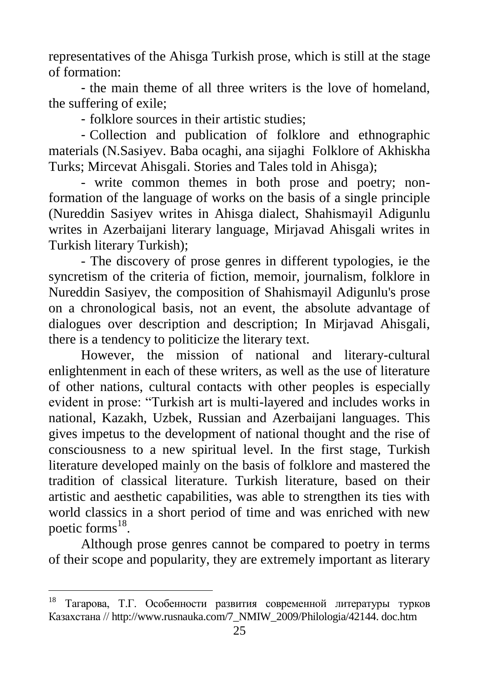representatives of the Ahisga Turkish prose, which is still at the stage of formation:

- the main theme of all three writers is the love of homeland, the suffering of exile;

- folklore sources in their artistic studies;

- Collection and publication of folklore and ethnographic materials (N.Sasiyev. Baba ocaghi, ana sijaghi Folklore of Akhiskha Turks; Mircevat Ahisgali. Stories and Tales told in Ahisga);

- write common themes in both prose and poetry; nonformation of the language of works on the basis of a single principle (Nureddin Sasiyev writes in Ahisga dialect, Shahismayil Adigunlu writes in Azerbaijani literary language, Mirjavad Ahisgali writes in Turkish literary Turkish);

- The discovery of prose genres in different typologies, ie the syncretism of the criteria of fiction, memoir, journalism, folklore in Nureddin Sasiyev, the composition of Shahismayil Adigunlu's prose on a chronological basis, not an event, the absolute advantage of dialogues over description and description; In Mirjavad Ahisgali, there is a tendency to politicize the literary text.

However, the mission of national and literary-cultural enlightenment in each of these writers, as well as the use of literature of other nations, cultural contacts with other peoples is especially evident in prose: "Turkish art is multi-layered and includes works in national, Kazakh, Uzbek, Russian and Azerbaijani languages. This gives impetus to the development of national thought and the rise of consciousness to a new spiritual level. In the first stage, Turkish literature developed mainly on the basis of folklore and mastered the tradition of classical literature. Turkish literature, based on their artistic and aesthetic capabilities, was able to strengthen its ties with world classics in a short period of time and was enriched with new poetic forms<sup>18</sup>.

Although prose genres cannot be compared to poetry in terms of their scope and popularity, they are extremely important as literary

<sup>18</sup> Тагарова, Т.Г. Особенности развития современной литературы турков Казахстана // [http://www.rusnauka.com/7\\_NMIW\\_2009/Philologia/42144. doc.htm](http://www.rusnauka.com/7_NMIW_2009/Philologia/42144.%20doc.htm)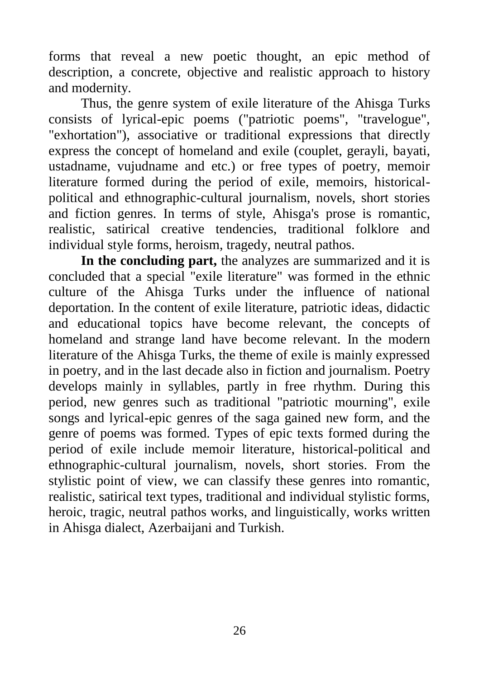forms that reveal a new poetic thought, an epic method of description, a concrete, objective and realistic approach to history and modernity.

Thus, the genre system of exile literature of the Ahisga Turks consists of lyrical-epic poems ("patriotic poems", "travelogue", "exhortation"), associative or traditional expressions that directly express the concept of homeland and exile (couplet, gerayli, bayati, ustadname, vujudname and etc.) or free types of poetry, memoir literature formed during the period of exile, memoirs, historicalpolitical and ethnographic-cultural journalism, novels, short stories and fiction genres. In terms of style, Ahisga's prose is romantic, realistic, satirical creative tendencies, traditional folklore and individual style forms, heroism, tragedy, neutral pathos.

**In the concluding part,** the analyzes are summarized and it is concluded that a special "exile literature" was formed in the ethnic culture of the Ahisga Turks under the influence of national deportation. In the content of exile literature, patriotic ideas, didactic and educational topics have become relevant, the concepts of homeland and strange land have become relevant. In the modern literature of the Ahisga Turks, the theme of exile is mainly expressed in poetry, and in the last decade also in fiction and journalism. Poetry develops mainly in syllables, partly in free rhythm. During this period, new genres such as traditional "patriotic mourning", exile songs and lyrical-epic genres of the saga gained new form, and the genre of poems was formed. Types of epic texts formed during the period of exile include memoir literature, historical-political and ethnographic-cultural journalism, novels, short stories. From the stylistic point of view, we can classify these genres into romantic, realistic, satirical text types, traditional and individual stylistic forms, heroic, tragic, neutral pathos works, and linguistically, works written in Ahisga dialect, Azerbaijani and Turkish.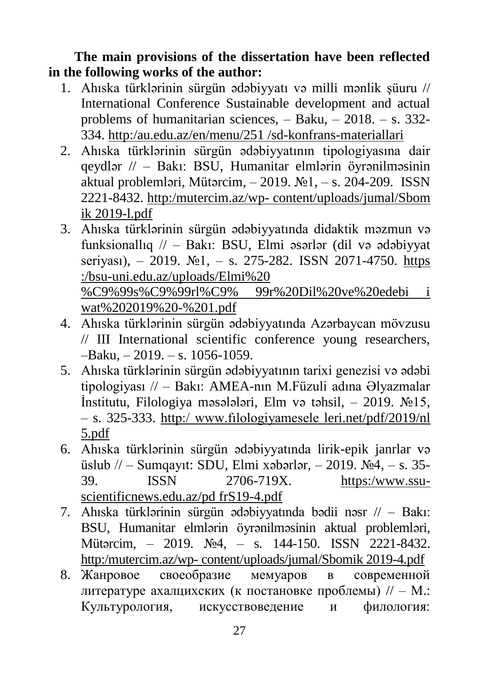**The main provisions of the dissertation have been reflected in the following works of the author:**

- 1. Ahıska türklərinin sürgün ədəbiyyatı və milli mənlik şüuru // International Conference Sustainable development and actual problems of humanitarian sciences, – Baku, – 2018. – s. 332- 334. [http:/au.edu.az/en/menu/251](http://au.edu.az/en/menu/25) /sd-konfrans-materiallari
- 2. Ahıska türklərinin sürgün ədəbiyyatının tipologiyasına dair qeydlər // – Bakı: ВSU, Humanitar elmlərin öyrənilməsinin aktual problemləri, Mütərcim,  $-2019$ .  $\mathbb{N}$ <sup>o</sup> $1, -$  s. 204-209. ISSN 2221-8432. http:/mutercim.az/wp- [content/uploads/jumal/Sbom](http://mutercim.az/wp-content/uploads/jumal/Sbom) ik 2019-l.pdf
- 3. Ahıska türklərinin sürgün ədəbiyyatında didaktik məzmun və funksionallıq // – Bakı: BSU, Elmi əsərlər (dil və ədəbiyyat seriyası), – 2019.  $\mathbb{N}^2$ 1, – s. 275-282. ISSN 2071-4750. https :/bsu-uni.edu.az/uploads/Elmi%20 %C9%99s%C9%99rl%C9% 99r%20Dil%20ve%20edebi i wat%202019%20-%201.pdf
- 4. Ahıska türklərinin sürgün ədəbiyyatında Azərbaycan mövzusu // III International scientific conference young researchers, –Baku, – 2019. – s. 1056-1059.
- 5. Ahıska türklərinin sürgün ədəbiyyatının tarixi genezisi və ədəbi tipologiyası // – Bakı: AMEA-nın M.Füzuli adına Əlyazmalar İnstitutu, Filologiya məsələləri, Elm və təhsil, – 2019. №15, – s. 325-333. http:/ www.fılologiyamesele leri.net/pdf/2019/nl 5.pdf
- 6. Ahıska türklərinin sürgün ədəbiyyatında lirik-epik janrlar və üslub // – Sumqayıt: SDU, Elmi xəbərlər, – 2019.  $\mathcal{N}_2$ 4, – s. 35-39. ISSN 2706-719X. [https:/www.ssu](https://www.ssu-scientificnews.edu.az/pd)[scientificnews.edu.az/pd](https://www.ssu-scientificnews.edu.az/pd) frS19-4.pdf
- 7. Ahıska türklərinin sürgün ədəbiyyatında bədii nəsr // Bakı: BSU, Humanitar elmlərin öyrənilməsinin aktual problemləri, Mütərcim, – 2019. №4, – s. 144-150. ISSN 2221-8432. [http:/mutercim.az/wp- content/uploads/jumal/Sb](http://mutercim.az/wp-content/uploads/j_umal/S)omik 2019-4.pdf
- 8. Жанровое своеобразие мемуаров в современной литературе ахалцихских (к постановке проблемы) // – М.: Культурология, искусствоведение и филология: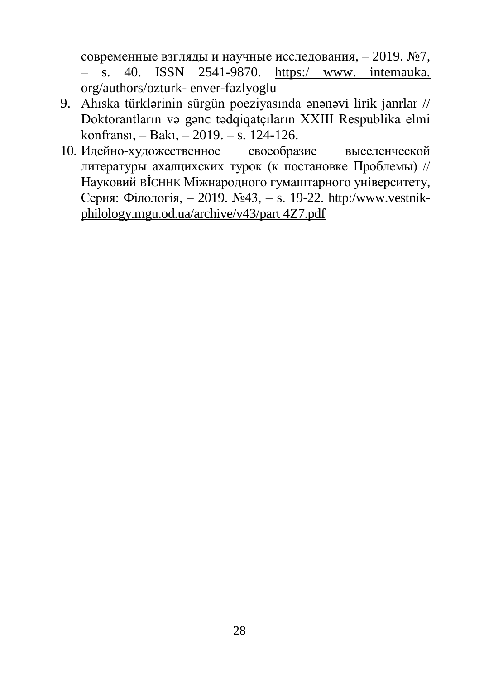современные взгляды и научные исследования, – 2019. №7,

– s. 40. ISSN 2541-9870. https:/ www. intemauka. org/authors/ozturk- enver-fazlyoglu

- 9. Ahıska türklərinin sürgün poeziyasında ənənəvi lirik janrlar // Doktorantların və gənc tədqiqatçıların XXIII Respublika elmi konfransı, – Bakı, – 2019. – s. 124-126.
- 10. Идейно-художественное своеобразие выселенческой литературы ахалцихских турок (к постановке Проблемы) // Науковий BİCHHK Мiжнародного гумаштарного унiверситету, Серия: Фiлoлoгiя, – 2019. №43, – s. 19-22. [http:/www.vestnik](http://www.vestnik-philology.mgu.od.ua/arc)[philology.mgu.od.ua/arch](http://www.vestnik-philology.mgu.od.ua/arc)ive/v43/part 4Z7.pdf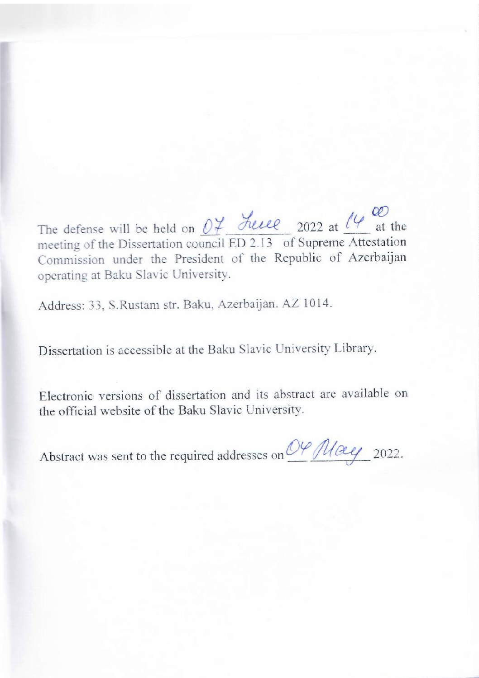$\frac{1}{2}$  defense with  $\frac{1}{2}$  and  $\frac{1}{2}$ he defense will be held on  $Q + Q$  and  $Q$  2022 at  $Q + Q$  at the meeting of the Dissertation council ED 2.13 of Supreme Attestation Commission under the President of the Republic of Azerbaijan operating at Baku Slavic University.

Address: 33, S.Rustam str. Baku, Azerbaijan. AZ 1014.

Dissertation is accessible at the Baku Slavic University Library.

Electronic versions of dissertation and its abstract are available on the official website of the Baku Slavic University.

Abstract was sent to the required addresses on  $O\frac{\sqrt{U\alpha_{e}}}{2022}$ .